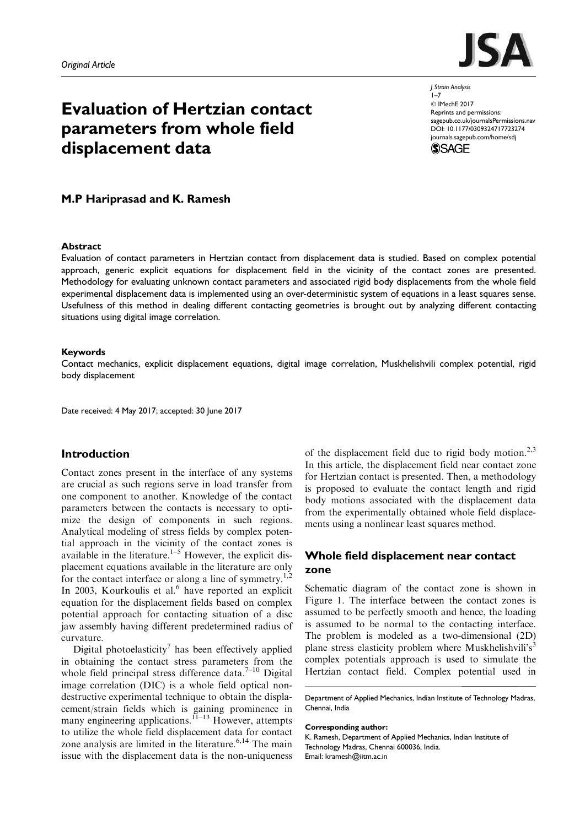

J Strain Analysis  $1 - 7$  $©$  IMechE 2017 Reprints and permissions: sagepub.co.uk/journalsPermissions.nav DOI: 10.1177/0309324717723274 journals.sagepub.com/home/sdj \$SAGE



### Abstract

Evaluation of contact parameters in Hertzian contact from displacement data is studied. Based on complex potential approach, generic explicit equations for displacement field in the vicinity of the contact zones are presented. Methodology for evaluating unknown contact parameters and associated rigid body displacements from the whole field experimental displacement data is implemented using an over-deterministic system of equations in a least squares sense. Usefulness of this method in dealing different contacting geometries is brought out by analyzing different contacting situations using digital image correlation.

### Keywords

Contact mechanics, explicit displacement equations, digital image correlation, Muskhelishvili complex potential, rigid body displacement

Date received: 4 May 2017; accepted: 30 June 2017

## Introduction

Contact zones present in the interface of any systems are crucial as such regions serve in load transfer from one component to another. Knowledge of the contact parameters between the contacts is necessary to optimize the design of components in such regions. Analytical modeling of stress fields by complex potential approach in the vicinity of the contact zones is available in the literature.<sup>1–5</sup> However, the explicit displacement equations available in the literature are only for the contact interface or along a line of symmetry.<sup>1,2</sup> In 2003, Kourkoulis et al.<sup>6</sup> have reported an explicit equation for the displacement fields based on complex potential approach for contacting situation of a disc jaw assembly having different predetermined radius of curvature.

Digital photoelasticity<sup>7</sup> has been effectively applied in obtaining the contact stress parameters from the whole field principal stress difference data. $7-10$  Digital image correlation (DIC) is a whole field optical nondestructive experimental technique to obtain the displacement/strain fields which is gaining prominence in many engineering applications.<sup>11–13</sup> However, attempts to utilize the whole field displacement data for contact zone analysis are limited in the literature. $6,14$  The main issue with the displacement data is the non-uniqueness

of the displacement field due to rigid body motion.<sup>2,3</sup> In this article, the displacement field near contact zone for Hertzian contact is presented. Then, a methodology is proposed to evaluate the contact length and rigid body motions associated with the displacement data from the experimentally obtained whole field displacements using a nonlinear least squares method.

# Whole field displacement near contact zone

Schematic diagram of the contact zone is shown in Figure 1. The interface between the contact zones is assumed to be perfectly smooth and hence, the loading is assumed to be normal to the contacting interface. The problem is modeled as a two-dimensional (2D) plane stress elasticity problem where Muskhelishvili's<sup>3</sup> complex potentials approach is used to simulate the Hertzian contact field. Complex potential used in

#### Corresponding author:

K. Ramesh, Department of Applied Mechanics, Indian Institute of Technology Madras, Chennai 600036, India. Email: kramesh@iitm.ac.in



Department of Applied Mechanics, Indian Institute of Technology Madras, Chennai, India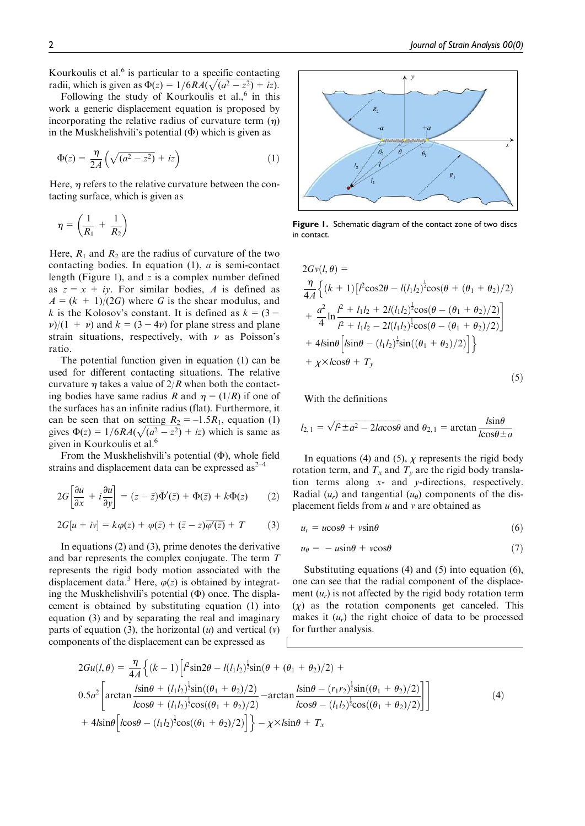Kourkoulis et al.<sup>6</sup> is particular to a specific contacting radii, which is given as  $\Phi(z) = 1/6RA(\sqrt{(a^2 - z^2)} + iz)$ .

Following the study of Kourkoulis et al.,<sup>6</sup> in this work a generic displacement equation is proposed by incorporating the relative radius of curvature term  $(\eta)$ in the Muskhelishvili's potential  $(\Phi)$  which is given as

$$
\Phi(z) = \frac{\eta}{2A} \left( \sqrt{(a^2 - z^2)} + iz \right) \tag{1}
$$

Here,  $\eta$  refers to the relative curvature between the contacting surface, which is given as

$$
\eta = \left(\frac{1}{R_1} + \frac{1}{R_2}\right)
$$

Here,  $R_1$  and  $R_2$  are the radius of curvature of the two contacting bodies. In equation  $(1)$ , *a* is semi-contact length (Figure 1), and  $z$  is a complex number defined as  $z = x + iy$ . For similar bodies, A is defined as  $A = (k + 1)/(2G)$  where G is the shear modulus, and k is the Kolosov's constant. It is defined as  $k = (3 \nu$ /(1 +  $\nu$ ) and  $k = (3 - 4\nu)$  for plane stress and plane strain situations, respectively, with  $\nu$  as Poisson's ratio.

The potential function given in equation (1) can be used for different contacting situations. The relative curvature  $\eta$  takes a value of 2/R when both the contacting bodies have same radius R and  $\eta = (1/R)$  if one of the surfaces has an infinite radius (flat). Furthermore, it can be seen that on setting  $R_2 = -1.5R_1$ , equation (1) gives  $\Phi(z) = 1/6RA(\sqrt{(a^2 - z^2)} + iz)$  which is same as given in Kourkoulis et al.<sup>6</sup>

From the Muskhelishvili's potential  $(\Phi)$ , whole field strains and displacement data can be expressed  $as^{2-4}$ 

$$
2G\left[\frac{\partial u}{\partial x} + i\frac{\partial u}{\partial y}\right] = (z - \bar{z})\bar{\Phi}'(\bar{z}) + \Phi(\bar{z}) + k\Phi(z) \tag{2}
$$

$$
2G[u + iv] = k\varphi(z) + \varphi(\bar{z}) + (\bar{z} - z)\overline{\varphi'(\bar{z})} + T \qquad (3)
$$

In equations (2) and (3), prime denotes the derivative and bar represents the complex conjugate. The term T represents the rigid body motion associated with the displacement data.<sup>3</sup> Here,  $\varphi(z)$  is obtained by integrating the Muskhelishvili's potential  $(\Phi)$  once. The displacement is obtained by substituting equation (1) into equation (3) and by separating the real and imaginary parts of equation (3), the horizontal  $(u)$  and vertical  $(v)$ components of the displacement can be expressed as



Figure 1. Schematic diagram of the contact zone of two discs in contact.

$$
2Gv(l, \theta) =
$$
  
\n
$$
\frac{\eta}{4A} \left\{ (k+1) \left[ l^2 \cos 2\theta - l(l_1 l_2)^{\frac{1}{2}} \cos(\theta + (\theta_1 + \theta_2)/2) \right] + \frac{a^2}{4} \ln \frac{l^2 + l_1 l_2 + 2l(l_1 l_2)^{\frac{1}{2}} \cos(\theta - (\theta_1 + \theta_2)/2)}{l^2 + l_1 l_2 - 2l(l_1 l_2)^{\frac{1}{2}} \cos(\theta - (\theta_1 + \theta_2)/2)} \right\} + 4l \sin \theta \left[ l \sin \theta - (l_1 l_2)^{\frac{1}{2}} \sin((\theta_1 + \theta_2)/2) \right] + \chi \times l \cos \theta + T_y
$$
\n(5)

With the definitions

$$
l_{2,1} = \sqrt{l^2 \pm a^2 - 2lacos\theta}
$$
 and  $\theta_{2,1} = \arctan \frac{l \sin \theta}{l \cos \theta \pm a}$ 

In equations (4) and (5),  $\chi$  represents the rigid body rotation term, and  $T_x$  and  $T_y$  are the rigid body translation terms along x- and y-directions, respectively. Radial  $(u_r)$  and tangential  $(u_\theta)$  components of the displacement fields from  $u$  and  $v$  are obtained as

$$
u_r = u\cos\theta + v\sin\theta \tag{6}
$$

$$
u_{\theta} = -u\sin\theta + v\cos\theta \tag{7}
$$

Substituting equations (4) and (5) into equation (6), one can see that the radial component of the displacement  $(u_r)$  is not affected by the rigid body rotation term  $(x)$  as the rotation components get canceled. This makes it  $(u_r)$  the right choice of data to be processed for further analysis.

$$
2Gu(l, \theta) = \frac{\eta}{4A} \left\{ (k-1) \left[ l^2 \sin 2\theta - l(l_1 l_2)^{\frac{1}{2}} \sin(\theta + (\theta_1 + \theta_2)/2) + \right. \right.\n0.5a^2 \left[ \arctan \frac{l \sin \theta + (l_1 l_2)^{\frac{1}{2}} \sin((\theta_1 + \theta_2)/2)}{l \cos \theta + (l_1 l_2)^{\frac{1}{2}} \cos((\theta_1 + \theta_2)/2)} - \arctan \frac{l \sin \theta - (r_1 r_2)^{\frac{1}{2}} \sin((\theta_1 + \theta_2)/2)}{l \cos \theta - (l_1 l_2)^{\frac{1}{2}} \cos((\theta_1 + \theta_2)/2)} \right] \right\}
$$
\n
$$
+ 4l \sin \theta \left[ l \cos \theta - (l_1 l_2)^{\frac{1}{2}} \cos((\theta_1 + \theta_2)/2) \right] \Big\} - \chi \times l \sin \theta + T_x
$$
\n(4)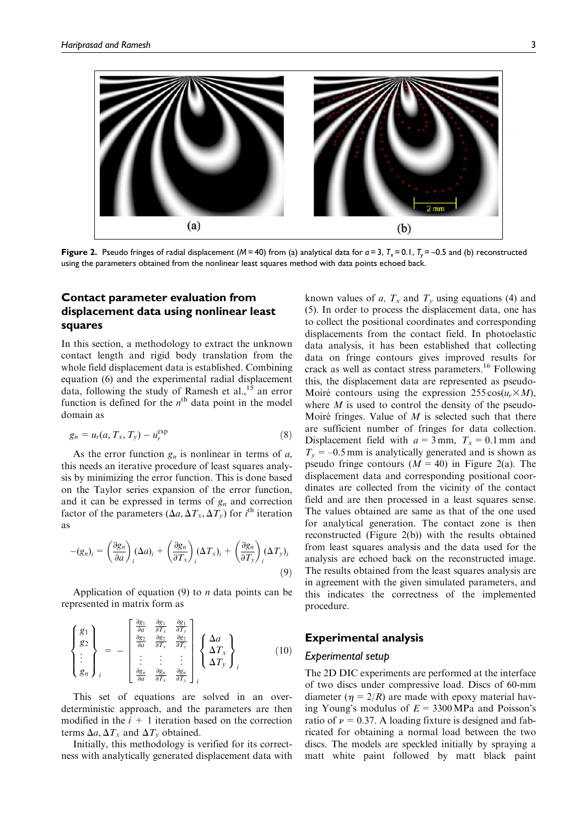

Figure 2. Pseudo fringes of radial displacement ( $M = 40$ ) from (a) analytical data for  $a = 3$ ,  $T<sub>x</sub> = 0.1$ ,  $T<sub>x</sub> = -0.5$  and (b) reconstructed using the parameters obtained from the nonlinear least squares method with data points echoed back.

# Contact parameter evaluation from displacement data using nonlinear least squares

In this section, a methodology to extract the unknown contact length and rigid body translation from the whole field displacement data is established. Combining equation (6) and the experimental radial displacement data, following the study of Ramesh et al.,<sup>15</sup> an error function is defined for the  $n<sup>th</sup>$  data point in the model domain as

$$
g_n = u_r(a, T_x, T_y) - u_r^{\exp} \tag{8}
$$

As the error function  $g_n$  is nonlinear in terms of a, this needs an iterative procedure of least squares analysis by minimizing the error function. This is done based on the Taylor series expansion of the error function, and it can be expressed in terms of  $g_n$  and correction factor of the parameters  $(\Delta a, \Delta T_x, \Delta T_y)$  for *i*<sup>th</sup> iteration as

$$
-(g_n)_i = \left(\frac{\partial g_n}{\partial a}\right)_i (\Delta a)_i + \left(\frac{\partial g_n}{\partial T_x}\right)_i (\Delta T_x)_i + \left(\frac{\partial g_n}{\partial T_y}\right)_i (\Delta T_y)_i
$$
\n(9)

Application of equation  $(9)$  to *n* data points can be represented in matrix form as

$$
\begin{Bmatrix} g_1 \\ g_2 \\ \vdots \\ g_n \end{Bmatrix}_i = - \begin{bmatrix} \frac{\partial g_1}{\partial a} & \frac{\partial g_1}{\partial T_x} & \frac{\partial g_1}{\partial T_y} \\ \frac{\partial g_2}{\partial a} & \frac{\partial g_2}{\partial T_x} & \frac{\partial g_2}{\partial T_y} \\ \vdots & \vdots & \vdots \\ \frac{\partial g_n}{\partial a} & \frac{\partial g_n}{\partial T_x} & \frac{\partial g_n}{\partial T_y} \end{bmatrix}_i \begin{Bmatrix} \Delta a \\ \Delta T_x \\ \Delta T_y \end{Bmatrix}_i \qquad (10)
$$

This set of equations are solved in an overdeterministic approach, and the parameters are then modified in the  $i + 1$  iteration based on the correction terms  $\Delta a$ ,  $\Delta T_x$  and  $\Delta T_y$  obtained.

Initially, this methodology is verified for its correctness with analytically generated displacement data with known values of a,  $T_x$  and  $T_y$  using equations (4) and (5). In order to process the displacement data, one has to collect the positional coordinates and corresponding displacements from the contact field. In photoelastic data analysis, it has been established that collecting data on fringe contours gives improved results for crack as well as contact stress parameters.<sup>16</sup> Following this, the displacement data are represented as pseudo-Moiré contours using the expression  $255 \cos(u_r \times M)$ , where  $M$  is used to control the density of the pseudo-Moiré fringes. Value of  $M$  is selected such that there are sufficient number of fringes for data collection. Displacement field with  $a = 3$  mm,  $T_x = 0.1$  mm and  $T<sub>v</sub>$  = –0.5 mm is analytically generated and is shown as pseudo fringe contours  $(M = 40)$  in Figure 2(a). The displacement data and corresponding positional coordinates are collected from the vicinity of the contact field and are then processed in a least squares sense. The values obtained are same as that of the one used for analytical generation. The contact zone is then reconstructed (Figure 2(b)) with the results obtained from least squares analysis and the data used for the analysis are echoed back on the reconstructed image. The results obtained from the least squares analysis are in agreement with the given simulated parameters, and this indicates the correctness of the implemented procedure.

## Experimental analysis

### Experimental setup

The 2D DIC experiments are performed at the interface of two discs under compressive load. Discs of 60-mm diameter ( $\eta = 2/R$ ) are made with epoxy material having Young's modulus of  $E = 3300 \text{ MPa}$  and Poisson's ratio of  $\nu = 0.37$ . A loading fixture is designed and fabricated for obtaining a normal load between the two discs. The models are speckled initially by spraying a matt white paint followed by matt black paint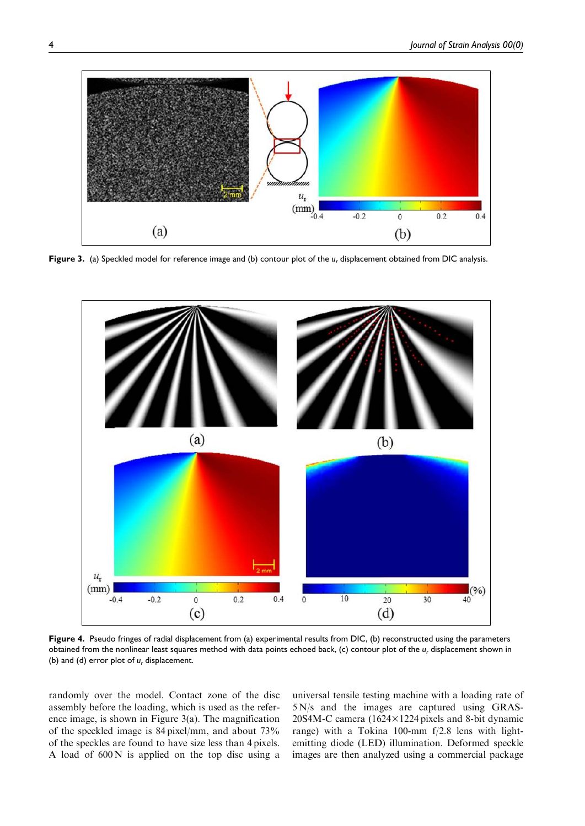

Figure 3. (a) Speckled model for reference image and (b) contour plot of the  $u_r$  displacement obtained from DIC analysis.



Figure 4. Pseudo fringes of radial displacement from (a) experimental results from DIC, (b) reconstructed using the parameters obtained from the nonlinear least squares method with data points echoed back, (c) contour plot of the  $u_r$  displacement shown in (b) and (d) error plot of  $u_r$  displacement.

randomly over the model. Contact zone of the disc assembly before the loading, which is used as the reference image, is shown in Figure 3(a). The magnification of the speckled image is 84 pixel/mm, and about 73% of the speckles are found to have size less than 4 pixels. A load of 600 N is applied on the top disc using a

universal tensile testing machine with a loading rate of 5 N/s and the images are captured using GRAS-20S4M-C camera (1624 $\times$ 1224 pixels and 8-bit dynamic range) with a Tokina 100-mm f/2.8 lens with lightemitting diode (LED) illumination. Deformed speckle images are then analyzed using a commercial package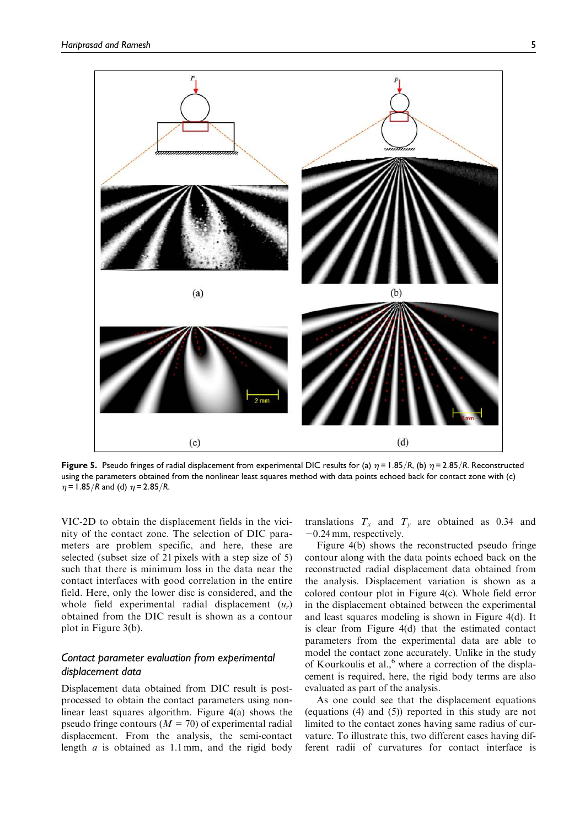

Figure 5. Pseudo fringes of radial displacement from experimental DIC results for (a)  $\eta$  = 1.85/R, (b)  $\eta$  = 2.85/R. Reconstructed using the parameters obtained from the nonlinear least squares method with data points echoed back for contact zone with (c)  $\eta$  = 1.85/R and (d)  $\eta$  = 2.85/R.

VIC-2D to obtain the displacement fields in the vicinity of the contact zone. The selection of DIC parameters are problem specific, and here, these are selected (subset size of 21 pixels with a step size of 5) such that there is minimum loss in the data near the contact interfaces with good correlation in the entire field. Here, only the lower disc is considered, and the whole field experimental radial displacement  $(u_r)$ obtained from the DIC result is shown as a contour plot in Figure 3(b).

## Contact parameter evaluation from experimental displacement data

Displacement data obtained from DIC result is postprocessed to obtain the contact parameters using nonlinear least squares algorithm. Figure 4(a) shows the pseudo fringe contours ( $M = 70$ ) of experimental radial displacement. From the analysis, the semi-contact length  $a$  is obtained as 1.1 mm, and the rigid body translations  $T<sub>x</sub>$  and  $T<sub>y</sub>$  are obtained as 0.34 and  $-0.24$  mm, respectively.

Figure 4(b) shows the reconstructed pseudo fringe contour along with the data points echoed back on the reconstructed radial displacement data obtained from the analysis. Displacement variation is shown as a colored contour plot in Figure 4(c). Whole field error in the displacement obtained between the experimental and least squares modeling is shown in Figure 4(d). It is clear from Figure 4(d) that the estimated contact parameters from the experimental data are able to model the contact zone accurately. Unlike in the study of Kourkoulis et al.,<sup>6</sup> where a correction of the displacement is required, here, the rigid body terms are also evaluated as part of the analysis.

As one could see that the displacement equations (equations (4) and (5)) reported in this study are not limited to the contact zones having same radius of curvature. To illustrate this, two different cases having different radii of curvatures for contact interface is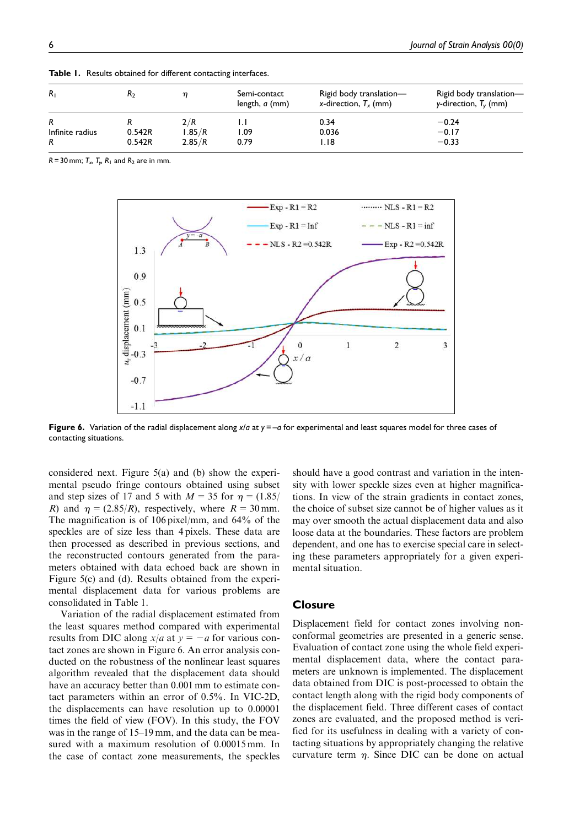| $R_{1}$         | $\rm{{\tt R}_2}$ |        | Semi-contact<br>length, a (mm) | Rigid body translation—<br>x-direction, $T_{x}$ (mm) | Rigid body translation-<br>y-direction, $T_v$ (mm) |
|-----------------|------------------|--------|--------------------------------|------------------------------------------------------|----------------------------------------------------|
| R               |                  | 2/R    |                                | 0.34                                                 | $-0.24$                                            |
| Infinite radius | 0.542R           | l.85/R | 1.09                           | 0.036                                                | $-0.17$                                            |
| R               | 0.542R           | 2.85/R | 0.79                           | I.I8                                                 | $-0.33$                                            |

Table 1. Results obtained for different contacting interfaces.

R = 30 mm;  $T_{\rm x}$ ,  $T_{\rm p}$ ,  $R_{\rm 1}$  and  $R_{\rm 2}$  are in mm.



Figure 6. Variation of the radial displacement along  $x/a$  at  $y = -a$  for experimental and least squares model for three cases of contacting situations.

considered next. Figure 5(a) and (b) show the experimental pseudo fringe contours obtained using subset and step sizes of 17 and 5 with  $M = 35$  for  $\eta = (1.85/$ R) and  $\eta = (2.85/R)$ , respectively, where  $R = 30$  mm. The magnification is of 106 pixel/mm, and 64% of the speckles are of size less than 4 pixels. These data are then processed as described in previous sections, and the reconstructed contours generated from the parameters obtained with data echoed back are shown in Figure 5(c) and (d). Results obtained from the experimental displacement data for various problems are consolidated in Table 1.

Variation of the radial displacement estimated from the least squares method compared with experimental results from DIC along  $x/a$  at  $y=-a$  for various contact zones are shown in Figure 6. An error analysis conducted on the robustness of the nonlinear least squares algorithm revealed that the displacement data should have an accuracy better than 0.001 mm to estimate contact parameters within an error of 0.5%. In VIC-2D, the displacements can have resolution up to 0.00001 times the field of view (FOV). In this study, the FOV was in the range of 15–19 mm, and the data can be measured with a maximum resolution of 0.00015 mm. In the case of contact zone measurements, the speckles should have a good contrast and variation in the intensity with lower speckle sizes even at higher magnifications. In view of the strain gradients in contact zones, the choice of subset size cannot be of higher values as it may over smooth the actual displacement data and also loose data at the boundaries. These factors are problem dependent, and one has to exercise special care in selecting these parameters appropriately for a given experimental situation.

## **Closure**

Displacement field for contact zones involving nonconformal geometries are presented in a generic sense. Evaluation of contact zone using the whole field experimental displacement data, where the contact parameters are unknown is implemented. The displacement data obtained from DIC is post-processed to obtain the contact length along with the rigid body components of the displacement field. Three different cases of contact zones are evaluated, and the proposed method is verified for its usefulness in dealing with a variety of contacting situations by appropriately changing the relative curvature term  $\eta$ . Since DIC can be done on actual